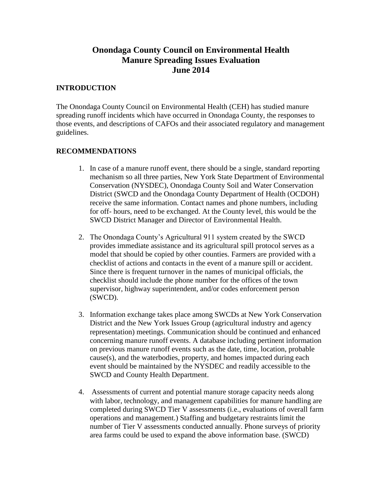# **Onondaga County Council on Environmental Health Manure Spreading Issues Evaluation June 2014**

#### **INTRODUCTION**

The Onondaga County Council on Environmental Health (CEH) has studied manure spreading runoff incidents which have occurred in Onondaga County, the responses to those events, and descriptions of CAFOs and their associated regulatory and management guidelines.

## **RECOMMENDATIONS**

- 1. In case of a manure runoff event, there should be a single, standard reporting mechanism so all three parties, New York State Department of Environmental Conservation (NYSDEC), Onondaga County Soil and Water Conservation District (SWCD and the Onondaga County Department of Health (OCDOH) receive the same information. Contact names and phone numbers, including for off- hours, need to be exchanged. At the County level, this would be the SWCD District Manager and Director of Environmental Health.
- 2. The Onondaga County's Agricultural 911 system created by the SWCD provides immediate assistance and its agricultural spill protocol serves as a model that should be copied by other counties. Farmers are provided with a checklist of actions and contacts in the event of a manure spill or accident. Since there is frequent turnover in the names of municipal officials, the checklist should include the phone number for the offices of the town supervisor, highway superintendent, and/or codes enforcement person (SWCD).
- 3. Information exchange takes place among SWCDs at New York Conservation District and the New York Issues Group (agricultural industry and agency representation) meetings. Communication should be continued and enhanced concerning manure runoff events. A database including pertinent information on previous manure runoff events such as the date, time, location, probable cause(s), and the waterbodies, property, and homes impacted during each event should be maintained by the NYSDEC and readily accessible to the SWCD and County Health Department.
- 4. Assessments of current and potential manure storage capacity needs along with labor, technology, and management capabilities for manure handling are completed during SWCD Tier V assessments (i.e., evaluations of overall farm operations and management.) Staffing and budgetary restraints limit the number of Tier V assessments conducted annually. Phone surveys of priority area farms could be used to expand the above information base. (SWCD)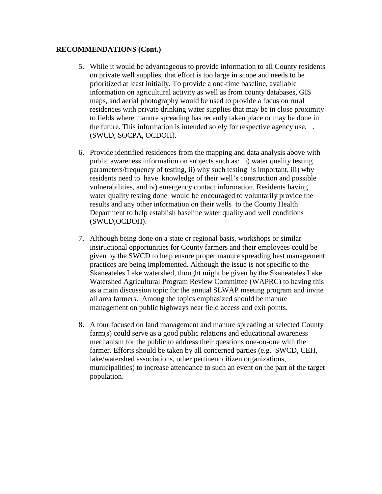#### **RECOMMENDATIONS (Cont.)**

- 5. While it would be advantageous to provide information to all County residents on private well supplies, that effort is too large in scope and needs to be prioritized at least initially. To provide a one-time baseline, available information on agricultural activity as well as from county databases, GIS maps, and aerial photography would be used to provide a focus on rural residences with private drinking water supplies that may be in close proximity to fields where manure spreading has recently taken place or may be done in the future. This information is intended solely for respective agency use. . (SWCD, SOCPA, OCDOH).
- 6. Provide identified residences from the mapping and data analysis above with public awareness information on subjects such as: i) water quality testing parameters/frequency of testing, ii) why such testing is important, iii) why residents need to have knowledge of their well's construction and possible vulnerabilities, and iv) emergency contact information. Residents having water quality testing done would be encouraged to voluntarily provide the results and any other information on their wells to the County Health Department to help establish baseline water quality and well conditions (SWCD,OCDOH).
- 7. Although being done on a state or regional basis, workshops or similar instructional opportunities for County farmers and their employees could be given by the SWCD to help ensure proper manure spreading best management practices are being implemented. Although the issue is not specific to the Skaneateles Lake watershed, thought might be given by the Skaneateles Lake Watershed Agricultural Program Review Committee (WAPRC) to having this as a main discussion topic for the annual SLWAP meeting program and invite all area farmers. Among the topics emphasized should be manure management on public highways near field access and exit points.
- 8. A tour focused on land management and manure spreading at selected County farm(s) could serve as a good public relations and educational awareness mechanism for the public to address their questions one-on-one with the farmer. Efforts should be taken by all concerned parties (e.g. SWCD, CEH, lake/watershed associations, other pertinent citizen organizations, municipalities) to increase attendance to such an event on the part of the target population.